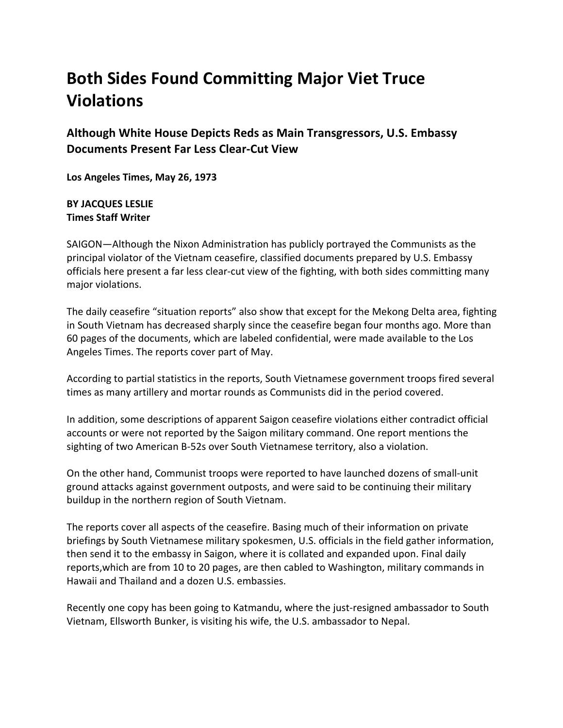## **Both Sides Found Committing Major Viet Truce Violations**

**Although White House Depicts Reds as Main Transgressors, U.S. Embassy Documents Present Far Less Clear-Cut View**

**Los Angeles Times, May 26, 1973**

## **BY JACQUES LESLIE Times Staff Writer**

SAIGON—Although the Nixon Administration has publicly portrayed the Communists as the principal violator of the Vietnam ceasefire, classified documents prepared by U.S. Embassy officials here present a far less clear-cut view of the fighting, with both sides committing many major violations.

The daily ceasefire "situation reports" also show that except for the Mekong Delta area, fighting in South Vietnam has decreased sharply since the ceasefire began four months ago. More than 60 pages of the documents, which are labeled confidential, were made available to the Los Angeles Times. The reports cover part of May.

According to partial statistics in the reports, South Vietnamese government troops fired several times as many artillery and mortar rounds as Communists did in the period covered.

In addition, some descriptions of apparent Saigon ceasefire violations either contradict official accounts or were not reported by the Saigon military command. One report mentions the sighting of two American B-52s over South Vietnamese territory, also a violation.

On the other hand, Communist troops were reported to have launched dozens of small-unit ground attacks against government outposts, and were said to be continuing their military buildup in the northern region of South Vietnam.

The reports cover all aspects of the ceasefire. Basing much of their information on private briefings by South Vietnamese military spokesmen, U.S. officials in the field gather information, then send it to the embassy in Saigon, where it is collated and expanded upon. Final daily reports,which are from 10 to 20 pages, are then cabled to Washington, military commands in Hawaii and Thailand and a dozen U.S. embassies.

Recently one copy has been going to Katmandu, where the just-resigned ambassador to South Vietnam, Ellsworth Bunker, is visiting his wife, the U.S. ambassador to Nepal.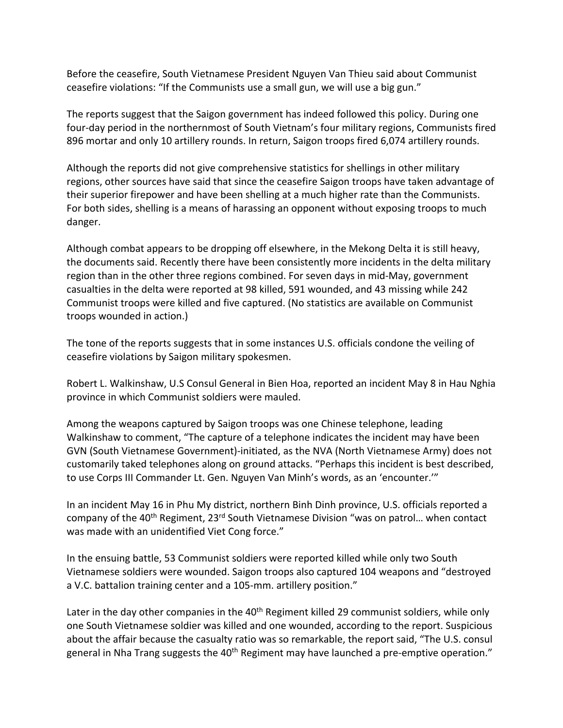Before the ceasefire, South Vietnamese President Nguyen Van Thieu said about Communist ceasefire violations: "If the Communists use a small gun, we will use a big gun."

The reports suggest that the Saigon government has indeed followed this policy. During one four-day period in the northernmost of South Vietnam's four military regions, Communists fired 896 mortar and only 10 artillery rounds. In return, Saigon troops fired 6,074 artillery rounds.

Although the reports did not give comprehensive statistics for shellings in other military regions, other sources have said that since the ceasefire Saigon troops have taken advantage of their superior firepower and have been shelling at a much higher rate than the Communists. For both sides, shelling is a means of harassing an opponent without exposing troops to much danger.

Although combat appears to be dropping off elsewhere, in the Mekong Delta it is still heavy, the documents said. Recently there have been consistently more incidents in the delta military region than in the other three regions combined. For seven days in mid-May, government casualties in the delta were reported at 98 killed, 591 wounded, and 43 missing while 242 Communist troops were killed and five captured. (No statistics are available on Communist troops wounded in action.)

The tone of the reports suggests that in some instances U.S. officials condone the veiling of ceasefire violations by Saigon military spokesmen.

Robert L. Walkinshaw, U.S Consul General in Bien Hoa, reported an incident May 8 in Hau Nghia province in which Communist soldiers were mauled.

Among the weapons captured by Saigon troops was one Chinese telephone, leading Walkinshaw to comment, "The capture of a telephone indicates the incident may have been GVN (South Vietnamese Government)-initiated, as the NVA (North Vietnamese Army) does not customarily taked telephones along on ground attacks. "Perhaps this incident is best described, to use Corps III Commander Lt. Gen. Nguyen Van Minh's words, as an 'encounter.'"

In an incident May 16 in Phu My district, northern Binh Dinh province, U.S. officials reported a company of the 40<sup>th</sup> Regiment, 23<sup>rd</sup> South Vietnamese Division "was on patrol... when contact was made with an unidentified Viet Cong force."

In the ensuing battle, 53 Communist soldiers were reported killed while only two South Vietnamese soldiers were wounded. Saigon troops also captured 104 weapons and "destroyed a V.C. battalion training center and a 105-mm. artillery position."

Later in the day other companies in the 40<sup>th</sup> Regiment killed 29 communist soldiers, while only one South Vietnamese soldier was killed and one wounded, according to the report. Suspicious about the affair because the casualty ratio was so remarkable, the report said, "The U.S. consul general in Nha Trang suggests the  $40<sup>th</sup>$  Regiment may have launched a pre-emptive operation."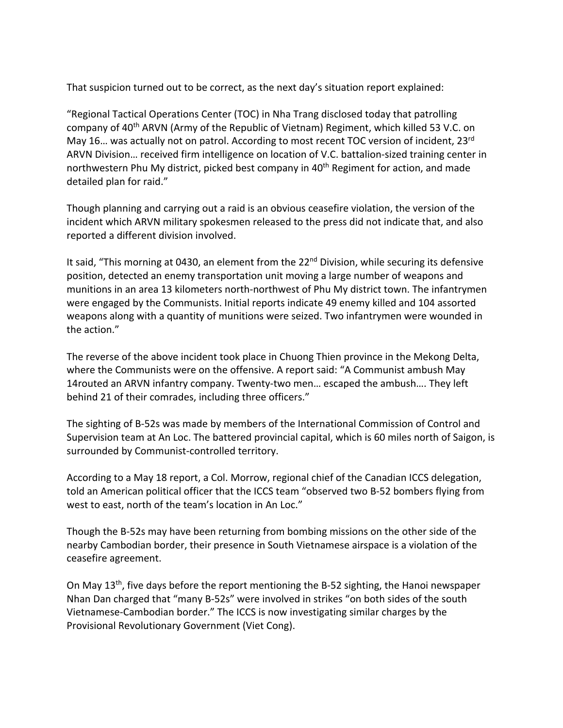That suspicion turned out to be correct, as the next day's situation report explained:

"Regional Tactical Operations Center (TOC) in Nha Trang disclosed today that patrolling company of 40th ARVN (Army of the Republic of Vietnam) Regiment, which killed 53 V.C. on May 16... was actually not on patrol. According to most recent TOC version of incident, 23rd ARVN Division… received firm intelligence on location of V.C. battalion-sized training center in northwestern Phu My district, picked best company in 40<sup>th</sup> Regiment for action, and made detailed plan for raid."

Though planning and carrying out a raid is an obvious ceasefire violation, the version of the incident which ARVN military spokesmen released to the press did not indicate that, and also reported a different division involved.

It said, "This morning at 0430, an element from the 22<sup>nd</sup> Division, while securing its defensive position, detected an enemy transportation unit moving a large number of weapons and munitions in an area 13 kilometers north-northwest of Phu My district town. The infantrymen were engaged by the Communists. Initial reports indicate 49 enemy killed and 104 assorted weapons along with a quantity of munitions were seized. Two infantrymen were wounded in the action."

The reverse of the above incident took place in Chuong Thien province in the Mekong Delta, where the Communists were on the offensive. A report said: "A Communist ambush May 14routed an ARVN infantry company. Twenty-two men… escaped the ambush…. They left behind 21 of their comrades, including three officers."

The sighting of B-52s was made by members of the International Commission of Control and Supervision team at An Loc. The battered provincial capital, which is 60 miles north of Saigon, is surrounded by Communist-controlled territory.

According to a May 18 report, a Col. Morrow, regional chief of the Canadian ICCS delegation, told an American political officer that the ICCS team "observed two B-52 bombers flying from west to east, north of the team's location in An Loc."

Though the B-52s may have been returning from bombing missions on the other side of the nearby Cambodian border, their presence in South Vietnamese airspace is a violation of the ceasefire agreement.

On May  $13<sup>th</sup>$ , five days before the report mentioning the B-52 sighting, the Hanoi newspaper Nhan Dan charged that "many B-52s" were involved in strikes "on both sides of the south Vietnamese-Cambodian border." The ICCS is now investigating similar charges by the Provisional Revolutionary Government (Viet Cong).